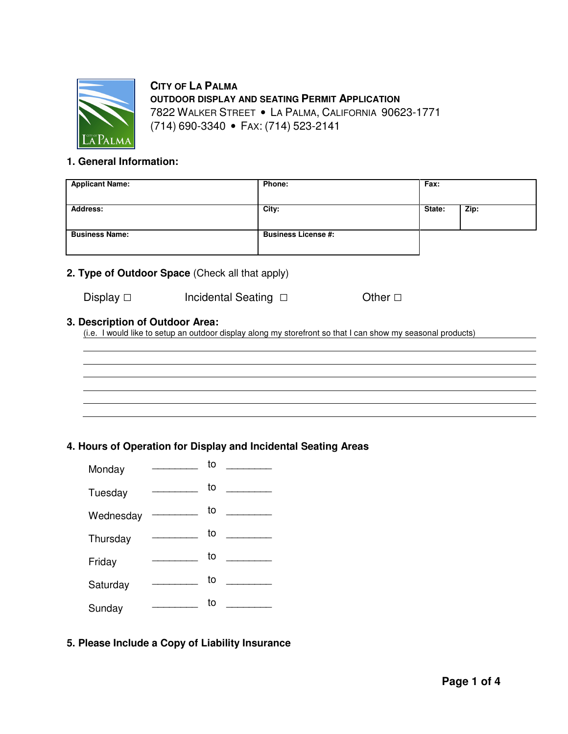

 **CITY OF LA PALMA OUTDOOR DISPLAY AND SEATING PERMIT APPLICATION** 7822 WALKER STREET • LA PALMA, CALIFORNIA 90623-1771 (714) 690-3340 • FAX: (714) 523-2141

## **1. General Information:**

| <b>Applicant Name:</b> | Phone:                     | Fax:   |      |
|------------------------|----------------------------|--------|------|
| <b>Address:</b>        | City:                      | State: | Zip: |
| <b>Business Name:</b>  | <b>Business License #:</b> |        |      |

## **2. Type of Outdoor Space** (Check all that apply)

| Display $\Box$ | Incidental Seating $\Box$ | Other $\square$ |
|----------------|---------------------------|-----------------|

#### **3. Description of Outdoor Area:**

(i.e. I would like to setup an outdoor display along my storefront so that I can show my seasonal products)

# 

## **4. Hours of Operation for Display and Incidental Seating Areas**

| Monday    | to |  |
|-----------|----|--|
| Tuesday   | to |  |
| Wednesday | to |  |
| Thursday  | to |  |
| Friday    | to |  |
| Saturday  | to |  |
| Sunday    | to |  |

## **5. Please Include a Copy of Liability Insurance**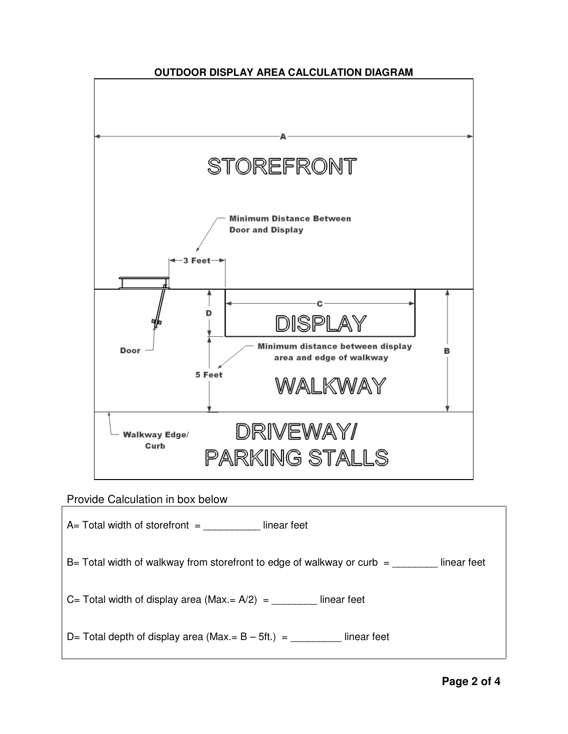

# Provide Calculation in box below

| $A=$ Total width of storefront $=$<br>linear feet                                         |
|-------------------------------------------------------------------------------------------|
| $B=$ Total width of walkway from storefront to edge of walkway or curb $=$<br>linear feet |
| C= Total width of display area (Max.= $A/2$ ) = _____<br>linear feet                      |
| D= Total depth of display area (Max.= $B - 5ft$ .) =<br>linear feet                       |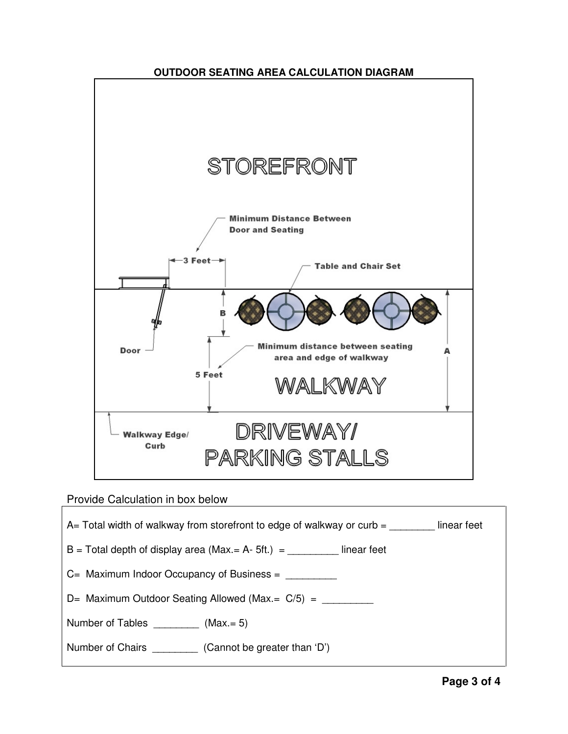

# Provide Calculation in box below